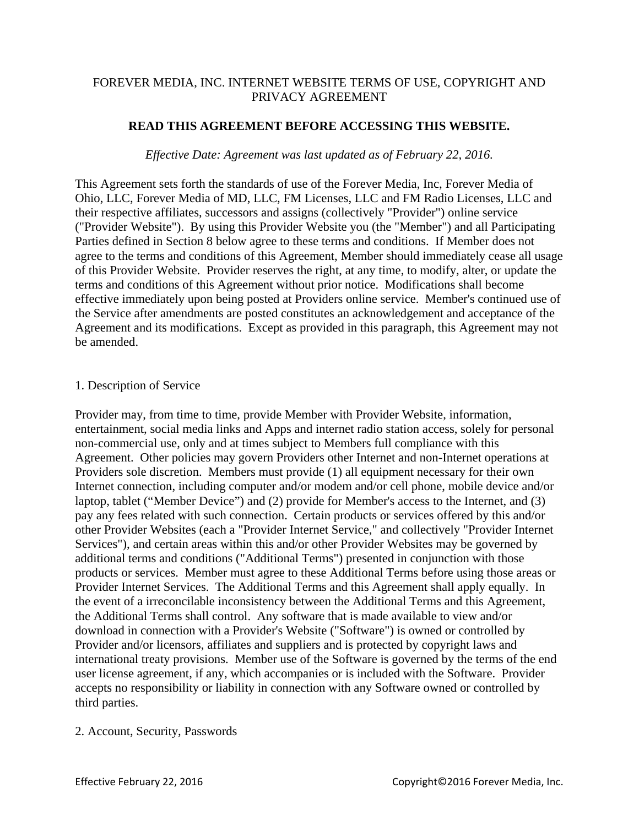# FOREVER MEDIA, INC. INTERNET WEBSITE TERMS OF USE, COPYRIGHT AND PRIVACY AGREEMENT

# **READ THIS AGREEMENT BEFORE ACCESSING THIS WEBSITE.**

### *Effective Date: Agreement was last updated as of February 22, 2016.*

This Agreement sets forth the standards of use of the Forever Media, Inc, Forever Media of Ohio, LLC, Forever Media of MD, LLC, FM Licenses, LLC and FM Radio Licenses, LLC and their respective affiliates, successors and assigns (collectively "Provider") online service ("Provider Website"). By using this Provider Website you (the "Member") and all Participating Parties defined in Section 8 below agree to these terms and conditions. If Member does not agree to the terms and conditions of this Agreement, Member should immediately cease all usage of this Provider Website. Provider reserves the right, at any time, to modify, alter, or update the terms and conditions of this Agreement without prior notice. Modifications shall become effective immediately upon being posted at Providers online service. Member's continued use of the Service after amendments are posted constitutes an acknowledgement and acceptance of the Agreement and its modifications. Except as provided in this paragraph, this Agreement may not be amended.

### 1. Description of Service

Provider may, from time to time, provide Member with Provider Website, information, entertainment, social media links and Apps and internet radio station access, solely for personal non-commercial use, only and at times subject to Members full compliance with this Agreement. Other policies may govern Providers other Internet and non-Internet operations at Providers sole discretion. Members must provide (1) all equipment necessary for their own Internet connection, including computer and/or modem and/or cell phone, mobile device and/or laptop, tablet ("Member Device") and (2) provide for Member's access to the Internet, and (3) pay any fees related with such connection. Certain products or services offered by this and/or other Provider Websites (each a "Provider Internet Service," and collectively "Provider Internet Services"), and certain areas within this and/or other Provider Websites may be governed by additional terms and conditions ("Additional Terms") presented in conjunction with those products or services. Member must agree to these Additional Terms before using those areas or Provider Internet Services. The Additional Terms and this Agreement shall apply equally. In the event of a irreconcilable inconsistency between the Additional Terms and this Agreement, the Additional Terms shall control. Any software that is made available to view and/or download in connection with a Provider's Website ("Software") is owned or controlled by Provider and/or licensors, affiliates and suppliers and is protected by copyright laws and international treaty provisions. Member use of the Software is governed by the terms of the end user license agreement, if any, which accompanies or is included with the Software. Provider accepts no responsibility or liability in connection with any Software owned or controlled by third parties.

## 2. Account, Security, Passwords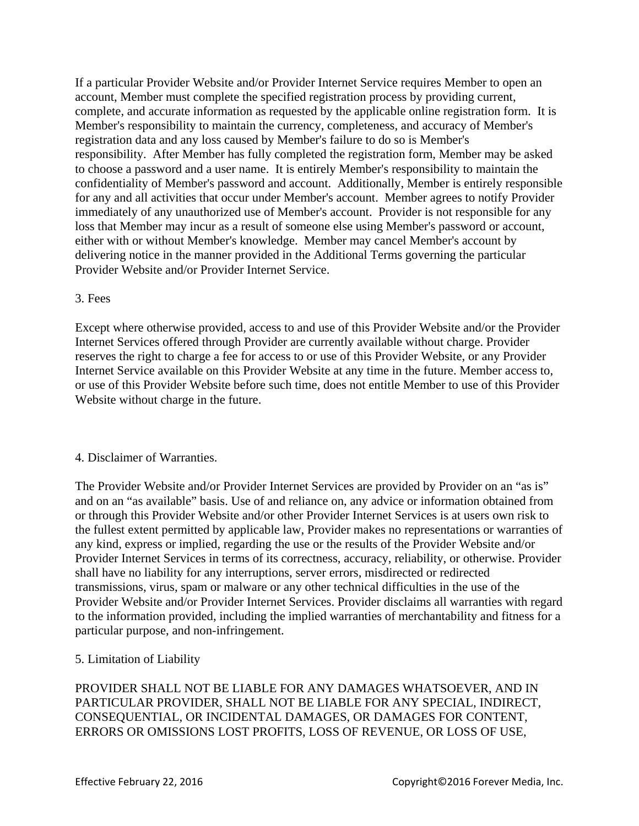If a particular Provider Website and/or Provider Internet Service requires Member to open an account, Member must complete the specified registration process by providing current, complete, and accurate information as requested by the applicable online registration form. It is Member's responsibility to maintain the currency, completeness, and accuracy of Member's registration data and any loss caused by Member's failure to do so is Member's responsibility. After Member has fully completed the registration form, Member may be asked to choose a password and a user name. It is entirely Member's responsibility to maintain the confidentiality of Member's password and account. Additionally, Member is entirely responsible for any and all activities that occur under Member's account. Member agrees to notify Provider immediately of any unauthorized use of Member's account. Provider is not responsible for any loss that Member may incur as a result of someone else using Member's password or account, either with or without Member's knowledge. Member may cancel Member's account by delivering notice in the manner provided in the Additional Terms governing the particular Provider Website and/or Provider Internet Service.

## 3. Fees

Except where otherwise provided, access to and use of this Provider Website and/or the Provider Internet Services offered through Provider are currently available without charge. Provider reserves the right to charge a fee for access to or use of this Provider Website, or any Provider Internet Service available on this Provider Website at any time in the future. Member access to, or use of this Provider Website before such time, does not entitle Member to use of this Provider Website without charge in the future.

## 4. Disclaimer of Warranties.

The Provider Website and/or Provider Internet Services are provided by Provider on an "as is" and on an "as available" basis. Use of and reliance on, any advice or information obtained from or through this Provider Website and/or other Provider Internet Services is at users own risk to the fullest extent permitted by applicable law, Provider makes no representations or warranties of any kind, express or implied, regarding the use or the results of the Provider Website and/or Provider Internet Services in terms of its correctness, accuracy, reliability, or otherwise. Provider shall have no liability for any interruptions, server errors, misdirected or redirected transmissions, virus, spam or malware or any other technical difficulties in the use of the Provider Website and/or Provider Internet Services. Provider disclaims all warranties with regard to the information provided, including the implied warranties of merchantability and fitness for a particular purpose, and non-infringement.

## 5. Limitation of Liability

PROVIDER SHALL NOT BE LIABLE FOR ANY DAMAGES WHATSOEVER, AND IN PARTICULAR PROVIDER, SHALL NOT BE LIABLE FOR ANY SPECIAL, INDIRECT, CONSEQUENTIAL, OR INCIDENTAL DAMAGES, OR DAMAGES FOR CONTENT, ERRORS OR OMISSIONS LOST PROFITS, LOSS OF REVENUE, OR LOSS OF USE,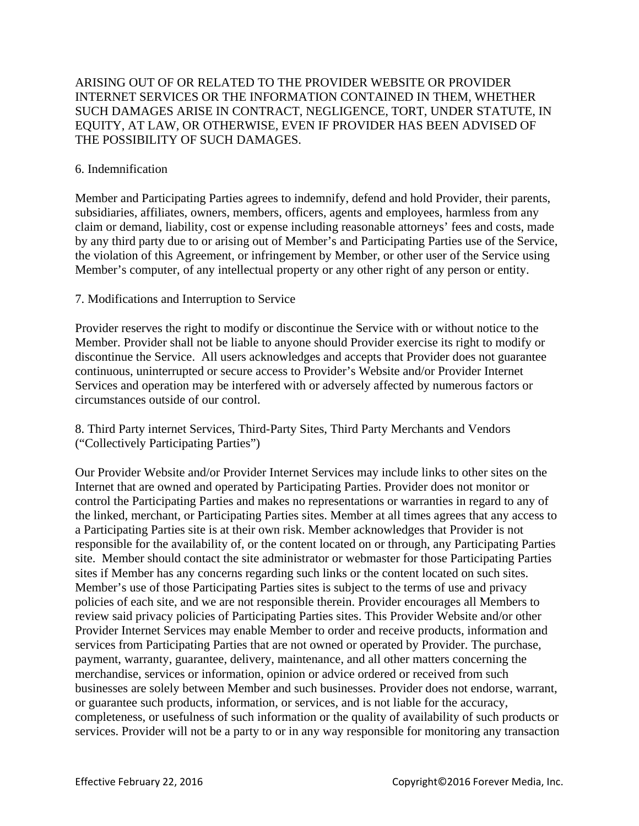# ARISING OUT OF OR RELATED TO THE PROVIDER WEBSITE OR PROVIDER INTERNET SERVICES OR THE INFORMATION CONTAINED IN THEM, WHETHER SUCH DAMAGES ARISE IN CONTRACT, NEGLIGENCE, TORT, UNDER STATUTE, IN EQUITY, AT LAW, OR OTHERWISE, EVEN IF PROVIDER HAS BEEN ADVISED OF THE POSSIBILITY OF SUCH DAMAGES.

### 6. Indemnification

Member and Participating Parties agrees to indemnify, defend and hold Provider, their parents, subsidiaries, affiliates, owners, members, officers, agents and employees, harmless from any claim or demand, liability, cost or expense including reasonable attorneys' fees and costs, made by any third party due to or arising out of Member's and Participating Parties use of the Service, the violation of this Agreement, or infringement by Member, or other user of the Service using Member's computer, of any intellectual property or any other right of any person or entity.

### 7. Modifications and Interruption to Service

Provider reserves the right to modify or discontinue the Service with or without notice to the Member. Provider shall not be liable to anyone should Provider exercise its right to modify or discontinue the Service. All users acknowledges and accepts that Provider does not guarantee continuous, uninterrupted or secure access to Provider's Website and/or Provider Internet Services and operation may be interfered with or adversely affected by numerous factors or circumstances outside of our control.

8. Third Party internet Services, Third-Party Sites, Third Party Merchants and Vendors ("Collectively Participating Parties")

Our Provider Website and/or Provider Internet Services may include links to other sites on the Internet that are owned and operated by Participating Parties. Provider does not monitor or control the Participating Parties and makes no representations or warranties in regard to any of the linked, merchant, or Participating Parties sites. Member at all times agrees that any access to a Participating Parties site is at their own risk. Member acknowledges that Provider is not responsible for the availability of, or the content located on or through, any Participating Parties site. Member should contact the site administrator or webmaster for those Participating Parties sites if Member has any concerns regarding such links or the content located on such sites. Member's use of those Participating Parties sites is subject to the terms of use and privacy policies of each site, and we are not responsible therein. Provider encourages all Members to review said privacy policies of Participating Parties sites. This Provider Website and/or other Provider Internet Services may enable Member to order and receive products, information and services from Participating Parties that are not owned or operated by Provider. The purchase, payment, warranty, guarantee, delivery, maintenance, and all other matters concerning the merchandise, services or information, opinion or advice ordered or received from such businesses are solely between Member and such businesses. Provider does not endorse, warrant, or guarantee such products, information, or services, and is not liable for the accuracy, completeness, or usefulness of such information or the quality of availability of such products or services. Provider will not be a party to or in any way responsible for monitoring any transaction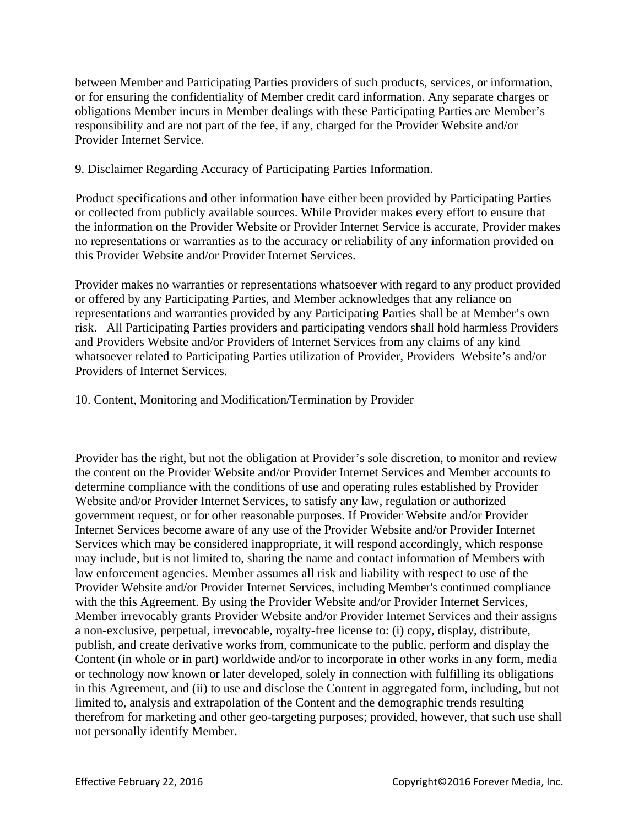between Member and Participating Parties providers of such products, services, or information, or for ensuring the confidentiality of Member credit card information. Any separate charges or obligations Member incurs in Member dealings with these Participating Parties are Member's responsibility and are not part of the fee, if any, charged for the Provider Website and/or Provider Internet Service.

## 9. Disclaimer Regarding Accuracy of Participating Parties Information.

Product specifications and other information have either been provided by Participating Parties or collected from publicly available sources. While Provider makes every effort to ensure that the information on the Provider Website or Provider Internet Service is accurate, Provider makes no representations or warranties as to the accuracy or reliability of any information provided on this Provider Website and/or Provider Internet Services.

Provider makes no warranties or representations whatsoever with regard to any product provided or offered by any Participating Parties, and Member acknowledges that any reliance on representations and warranties provided by any Participating Parties shall be at Member's own risk. All Participating Parties providers and participating vendors shall hold harmless Providers and Providers Website and/or Providers of Internet Services from any claims of any kind whatsoever related to Participating Parties utilization of Provider, Providers Website's and/or Providers of Internet Services.

## 10. Content, Monitoring and Modification/Termination by Provider

Provider has the right, but not the obligation at Provider's sole discretion, to monitor and review the content on the Provider Website and/or Provider Internet Services and Member accounts to determine compliance with the conditions of use and operating rules established by Provider Website and/or Provider Internet Services, to satisfy any law, regulation or authorized government request, or for other reasonable purposes. If Provider Website and/or Provider Internet Services become aware of any use of the Provider Website and/or Provider Internet Services which may be considered inappropriate, it will respond accordingly, which response may include, but is not limited to, sharing the name and contact information of Members with law enforcement agencies. Member assumes all risk and liability with respect to use of the Provider Website and/or Provider Internet Services, including Member's continued compliance with the this Agreement. By using the Provider Website and/or Provider Internet Services, Member irrevocably grants Provider Website and/or Provider Internet Services and their assigns a non-exclusive, perpetual, irrevocable, royalty-free license to: (i) copy, display, distribute, publish, and create derivative works from, communicate to the public, perform and display the Content (in whole or in part) worldwide and/or to incorporate in other works in any form, media or technology now known or later developed, solely in connection with fulfilling its obligations in this Agreement, and (ii) to use and disclose the Content in aggregated form, including, but not limited to, analysis and extrapolation of the Content and the demographic trends resulting therefrom for marketing and other geo-targeting purposes; provided, however, that such use shall not personally identify Member.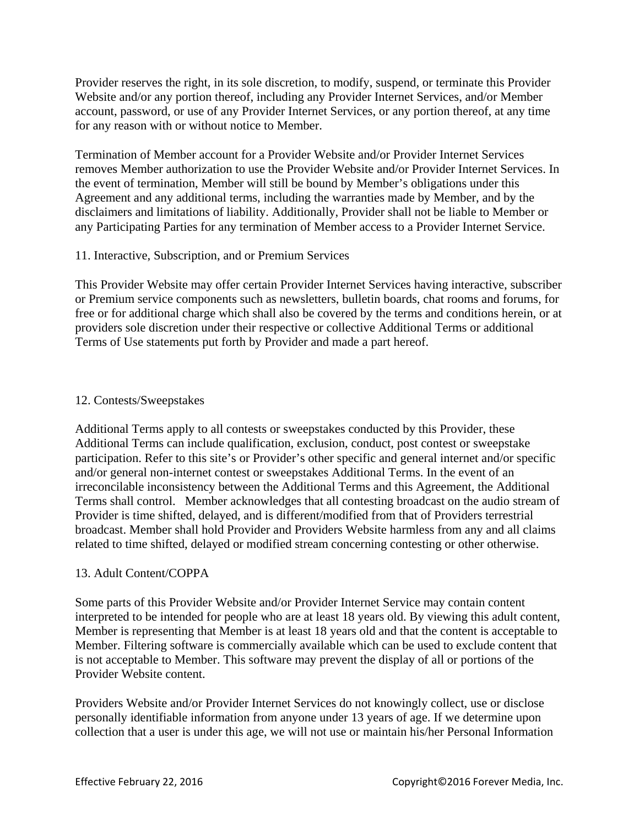Provider reserves the right, in its sole discretion, to modify, suspend, or terminate this Provider Website and/or any portion thereof, including any Provider Internet Services, and/or Member account, password, or use of any Provider Internet Services, or any portion thereof, at any time for any reason with or without notice to Member.

Termination of Member account for a Provider Website and/or Provider Internet Services removes Member authorization to use the Provider Website and/or Provider Internet Services. In the event of termination, Member will still be bound by Member's obligations under this Agreement and any additional terms, including the warranties made by Member, and by the disclaimers and limitations of liability. Additionally, Provider shall not be liable to Member or any Participating Parties for any termination of Member access to a Provider Internet Service.

# 11. Interactive, Subscription, and or Premium Services

This Provider Website may offer certain Provider Internet Services having interactive, subscriber or Premium service components such as newsletters, bulletin boards, chat rooms and forums, for free or for additional charge which shall also be covered by the terms and conditions herein, or at providers sole discretion under their respective or collective Additional Terms or additional Terms of Use statements put forth by Provider and made a part hereof.

## 12. Contests/Sweepstakes

Additional Terms apply to all contests or sweepstakes conducted by this Provider, these Additional Terms can include qualification, exclusion, conduct, post contest or sweepstake participation. Refer to this site's or Provider's other specific and general internet and/or specific and/or general non-internet contest or sweepstakes Additional Terms. In the event of an irreconcilable inconsistency between the Additional Terms and this Agreement, the Additional Terms shall control. Member acknowledges that all contesting broadcast on the audio stream of Provider is time shifted, delayed, and is different/modified from that of Providers terrestrial broadcast. Member shall hold Provider and Providers Website harmless from any and all claims related to time shifted, delayed or modified stream concerning contesting or other otherwise.

# 13. Adult Content/COPPA

Some parts of this Provider Website and/or Provider Internet Service may contain content interpreted to be intended for people who are at least 18 years old. By viewing this adult content, Member is representing that Member is at least 18 years old and that the content is acceptable to Member. Filtering software is commercially available which can be used to exclude content that is not acceptable to Member. This software may prevent the display of all or portions of the Provider Website content.

Providers Website and/or Provider Internet Services do not knowingly collect, use or disclose personally identifiable information from anyone under 13 years of age. If we determine upon collection that a user is under this age, we will not use or maintain his/her Personal Information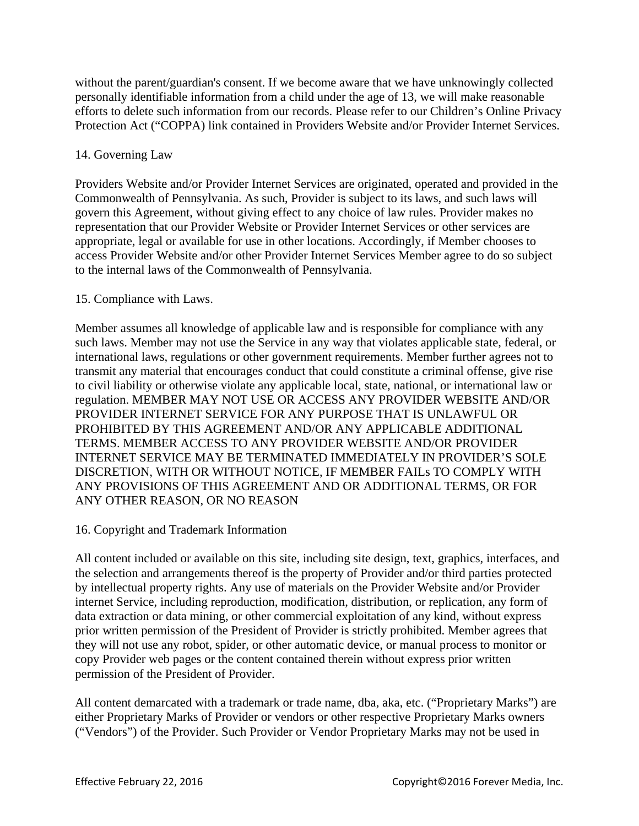without the parent/guardian's consent. If we become aware that we have unknowingly collected personally identifiable information from a child under the age of 13, we will make reasonable efforts to delete such information from our records. Please refer to our Children's Online Privacy Protection Act ("COPPA) link contained in Providers Website and/or Provider Internet Services.

# 14. Governing Law

Providers Website and/or Provider Internet Services are originated, operated and provided in the Commonwealth of Pennsylvania. As such, Provider is subject to its laws, and such laws will govern this Agreement, without giving effect to any choice of law rules. Provider makes no representation that our Provider Website or Provider Internet Services or other services are appropriate, legal or available for use in other locations. Accordingly, if Member chooses to access Provider Website and/or other Provider Internet Services Member agree to do so subject to the internal laws of the Commonwealth of Pennsylvania.

# 15. Compliance with Laws.

Member assumes all knowledge of applicable law and is responsible for compliance with any such laws. Member may not use the Service in any way that violates applicable state, federal, or international laws, regulations or other government requirements. Member further agrees not to transmit any material that encourages conduct that could constitute a criminal offense, give rise to civil liability or otherwise violate any applicable local, state, national, or international law or regulation. MEMBER MAY NOT USE OR ACCESS ANY PROVIDER WEBSITE AND/OR PROVIDER INTERNET SERVICE FOR ANY PURPOSE THAT IS UNLAWFUL OR PROHIBITED BY THIS AGREEMENT AND/OR ANY APPLICABLE ADDITIONAL TERMS. MEMBER ACCESS TO ANY PROVIDER WEBSITE AND/OR PROVIDER INTERNET SERVICE MAY BE TERMINATED IMMEDIATELY IN PROVIDER'S SOLE DISCRETION, WITH OR WITHOUT NOTICE, IF MEMBER FAILs TO COMPLY WITH ANY PROVISIONS OF THIS AGREEMENT AND OR ADDITIONAL TERMS, OR FOR ANY OTHER REASON, OR NO REASON

## 16. Copyright and Trademark Information

All content included or available on this site, including site design, text, graphics, interfaces, and the selection and arrangements thereof is the property of Provider and/or third parties protected by intellectual property rights. Any use of materials on the Provider Website and/or Provider internet Service, including reproduction, modification, distribution, or replication, any form of data extraction or data mining, or other commercial exploitation of any kind, without express prior written permission of the President of Provider is strictly prohibited. Member agrees that they will not use any robot, spider, or other automatic device, or manual process to monitor or copy Provider web pages or the content contained therein without express prior written permission of the President of Provider.

All content demarcated with a trademark or trade name, dba, aka, etc. ("Proprietary Marks") are either Proprietary Marks of Provider or vendors or other respective Proprietary Marks owners ("Vendors") of the Provider. Such Provider or Vendor Proprietary Marks may not be used in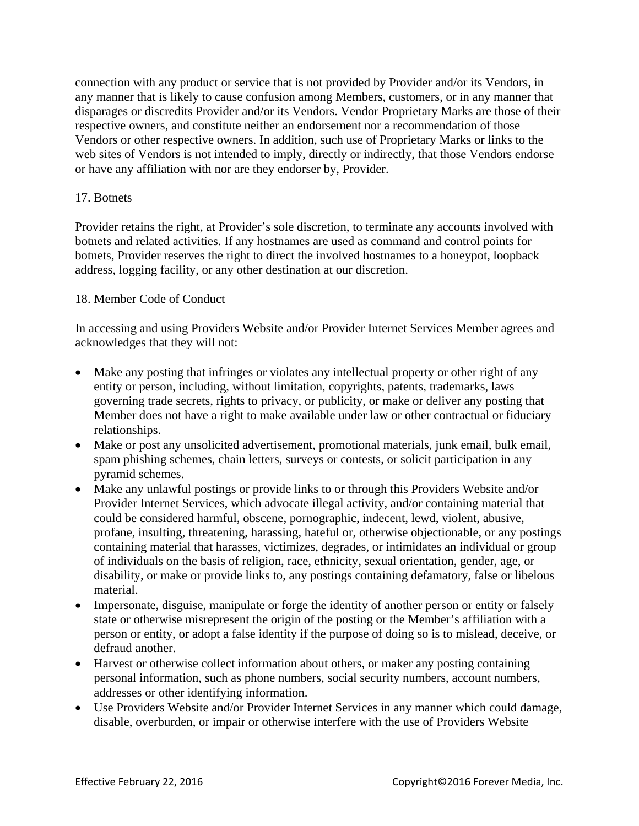connection with any product or service that is not provided by Provider and/or its Vendors, in any manner that is likely to cause confusion among Members, customers, or in any manner that disparages or discredits Provider and/or its Vendors. Vendor Proprietary Marks are those of their respective owners, and constitute neither an endorsement nor a recommendation of those Vendors or other respective owners. In addition, such use of Proprietary Marks or links to the web sites of Vendors is not intended to imply, directly or indirectly, that those Vendors endorse or have any affiliation with nor are they endorser by, Provider.

## 17. Botnets

Provider retains the right, at Provider's sole discretion, to terminate any accounts involved with botnets and related activities. If any hostnames are used as command and control points for botnets, Provider reserves the right to direct the involved hostnames to a honeypot, loopback address, logging facility, or any other destination at our discretion.

### 18. Member Code of Conduct

In accessing and using Providers Website and/or Provider Internet Services Member agrees and acknowledges that they will not:

- Make any posting that infringes or violates any intellectual property or other right of any entity or person, including, without limitation, copyrights, patents, trademarks, laws governing trade secrets, rights to privacy, or publicity, or make or deliver any posting that Member does not have a right to make available under law or other contractual or fiduciary relationships.
- Make or post any unsolicited advertisement, promotional materials, junk email, bulk email, spam phishing schemes, chain letters, surveys or contests, or solicit participation in any pyramid schemes.
- Make any unlawful postings or provide links to or through this Providers Website and/or Provider Internet Services, which advocate illegal activity, and/or containing material that could be considered harmful, obscene, pornographic, indecent, lewd, violent, abusive, profane, insulting, threatening, harassing, hateful or, otherwise objectionable, or any postings containing material that harasses, victimizes, degrades, or intimidates an individual or group of individuals on the basis of religion, race, ethnicity, sexual orientation, gender, age, or disability, or make or provide links to, any postings containing defamatory, false or libelous material.
- Impersonate, disguise, manipulate or forge the identity of another person or entity or falsely state or otherwise misrepresent the origin of the posting or the Member's affiliation with a person or entity, or adopt a false identity if the purpose of doing so is to mislead, deceive, or defraud another.
- Harvest or otherwise collect information about others, or maker any posting containing personal information, such as phone numbers, social security numbers, account numbers, addresses or other identifying information.
- Use Providers Website and/or Provider Internet Services in any manner which could damage, disable, overburden, or impair or otherwise interfere with the use of Providers Website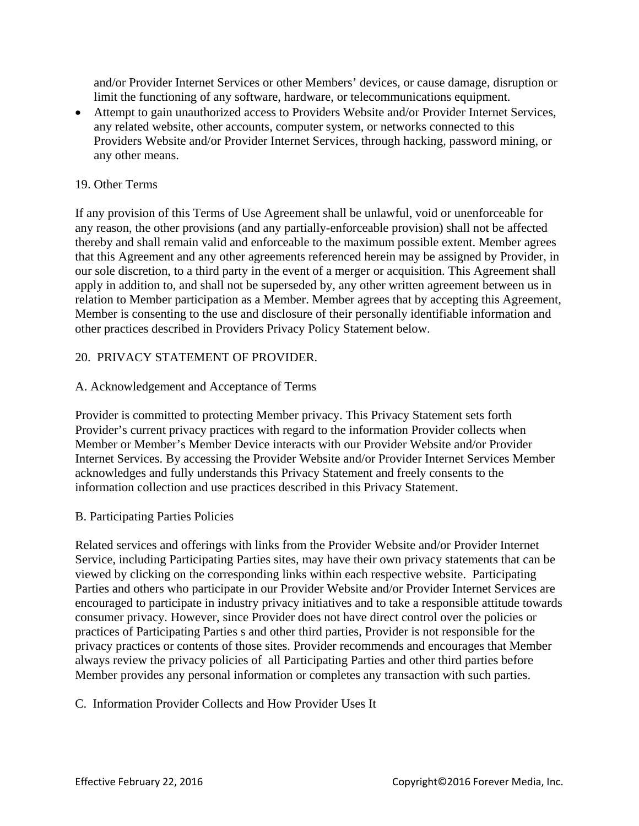and/or Provider Internet Services or other Members' devices, or cause damage, disruption or limit the functioning of any software, hardware, or telecommunications equipment.

 Attempt to gain unauthorized access to Providers Website and/or Provider Internet Services, any related website, other accounts, computer system, or networks connected to this Providers Website and/or Provider Internet Services, through hacking, password mining, or any other means.

## 19. Other Terms

If any provision of this Terms of Use Agreement shall be unlawful, void or unenforceable for any reason, the other provisions (and any partially-enforceable provision) shall not be affected thereby and shall remain valid and enforceable to the maximum possible extent. Member agrees that this Agreement and any other agreements referenced herein may be assigned by Provider, in our sole discretion, to a third party in the event of a merger or acquisition. This Agreement shall apply in addition to, and shall not be superseded by, any other written agreement between us in relation to Member participation as a Member. Member agrees that by accepting this Agreement, Member is consenting to the use and disclosure of their personally identifiable information and other practices described in Providers Privacy Policy Statement below.

## 20. PRIVACY STATEMENT OF PROVIDER.

## A. Acknowledgement and Acceptance of Terms

Provider is committed to protecting Member privacy. This Privacy Statement sets forth Provider's current privacy practices with regard to the information Provider collects when Member or Member's Member Device interacts with our Provider Website and/or Provider Internet Services. By accessing the Provider Website and/or Provider Internet Services Member acknowledges and fully understands this Privacy Statement and freely consents to the information collection and use practices described in this Privacy Statement.

## B. Participating Parties Policies

Related services and offerings with links from the Provider Website and/or Provider Internet Service, including Participating Parties sites, may have their own privacy statements that can be viewed by clicking on the corresponding links within each respective website. Participating Parties and others who participate in our Provider Website and/or Provider Internet Services are encouraged to participate in industry privacy initiatives and to take a responsible attitude towards consumer privacy. However, since Provider does not have direct control over the policies or practices of Participating Parties s and other third parties, Provider is not responsible for the privacy practices or contents of those sites. Provider recommends and encourages that Member always review the privacy policies of all Participating Parties and other third parties before Member provides any personal information or completes any transaction with such parties.

#### C. Information Provider Collects and How Provider Uses It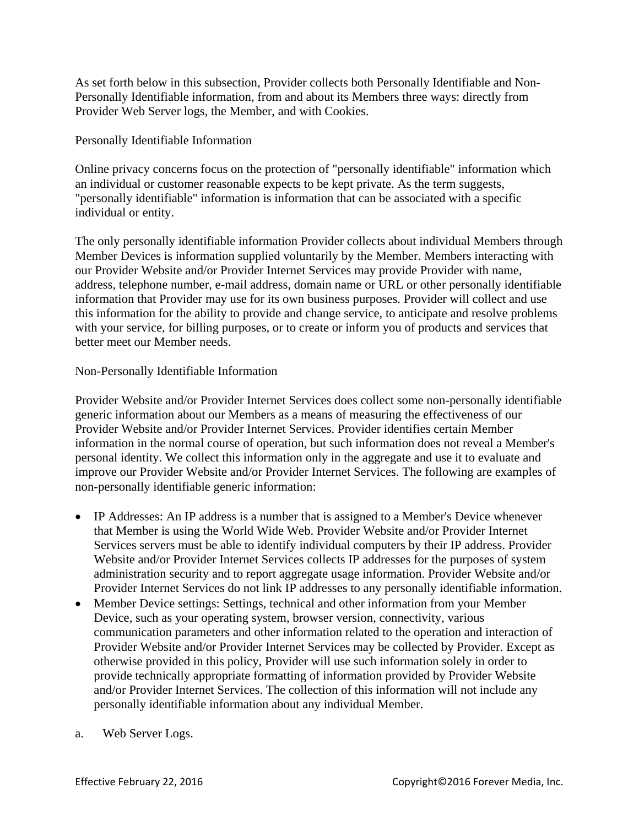As set forth below in this subsection, Provider collects both Personally Identifiable and Non-Personally Identifiable information, from and about its Members three ways: directly from Provider Web Server logs, the Member, and with Cookies.

Personally Identifiable Information

Online privacy concerns focus on the protection of "personally identifiable" information which an individual or customer reasonable expects to be kept private. As the term suggests, "personally identifiable" information is information that can be associated with a specific individual or entity.

The only personally identifiable information Provider collects about individual Members through Member Devices is information supplied voluntarily by the Member. Members interacting with our Provider Website and/or Provider Internet Services may provide Provider with name, address, telephone number, e-mail address, domain name or URL or other personally identifiable information that Provider may use for its own business purposes. Provider will collect and use this information for the ability to provide and change service, to anticipate and resolve problems with your service, for billing purposes, or to create or inform you of products and services that better meet our Member needs.

# Non-Personally Identifiable Information

Provider Website and/or Provider Internet Services does collect some non-personally identifiable generic information about our Members as a means of measuring the effectiveness of our Provider Website and/or Provider Internet Services. Provider identifies certain Member information in the normal course of operation, but such information does not reveal a Member's personal identity. We collect this information only in the aggregate and use it to evaluate and improve our Provider Website and/or Provider Internet Services. The following are examples of non-personally identifiable generic information:

- IP Addresses: An IP address is a number that is assigned to a Member's Device whenever that Member is using the World Wide Web. Provider Website and/or Provider Internet Services servers must be able to identify individual computers by their IP address. Provider Website and/or Provider Internet Services collects IP addresses for the purposes of system administration security and to report aggregate usage information. Provider Website and/or Provider Internet Services do not link IP addresses to any personally identifiable information.
- Member Device settings: Settings, technical and other information from your Member Device, such as your operating system, browser version, connectivity, various communication parameters and other information related to the operation and interaction of Provider Website and/or Provider Internet Services may be collected by Provider. Except as otherwise provided in this policy, Provider will use such information solely in order to provide technically appropriate formatting of information provided by Provider Website and/or Provider Internet Services. The collection of this information will not include any personally identifiable information about any individual Member.
- a. Web Server Logs.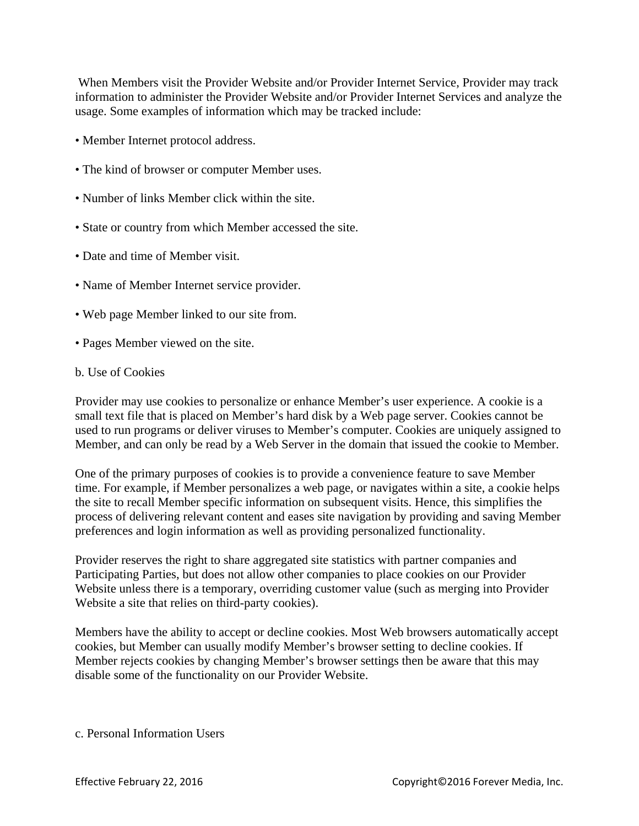When Members visit the Provider Website and/or Provider Internet Service, Provider may track information to administer the Provider Website and/or Provider Internet Services and analyze the usage. Some examples of information which may be tracked include:

- Member Internet protocol address.
- The kind of browser or computer Member uses.
- Number of links Member click within the site.
- State or country from which Member accessed the site.
- Date and time of Member visit.
- Name of Member Internet service provider.
- Web page Member linked to our site from.
- Pages Member viewed on the site.
- b. Use of Cookies

Provider may use cookies to personalize or enhance Member's user experience. A cookie is a small text file that is placed on Member's hard disk by a Web page server. Cookies cannot be used to run programs or deliver viruses to Member's computer. Cookies are uniquely assigned to Member, and can only be read by a Web Server in the domain that issued the cookie to Member.

One of the primary purposes of cookies is to provide a convenience feature to save Member time. For example, if Member personalizes a web page, or navigates within a site, a cookie helps the site to recall Member specific information on subsequent visits. Hence, this simplifies the process of delivering relevant content and eases site navigation by providing and saving Member preferences and login information as well as providing personalized functionality.

Provider reserves the right to share aggregated site statistics with partner companies and Participating Parties, but does not allow other companies to place cookies on our Provider Website unless there is a temporary, overriding customer value (such as merging into Provider Website a site that relies on third-party cookies).

Members have the ability to accept or decline cookies. Most Web browsers automatically accept cookies, but Member can usually modify Member's browser setting to decline cookies. If Member rejects cookies by changing Member's browser settings then be aware that this may disable some of the functionality on our Provider Website.

c. Personal Information Users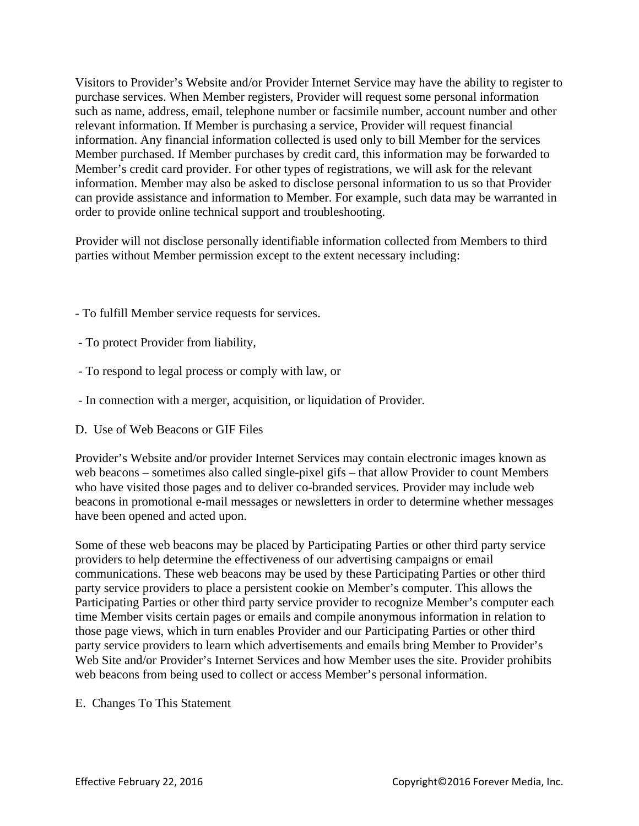Visitors to Provider's Website and/or Provider Internet Service may have the ability to register to purchase services. When Member registers, Provider will request some personal information such as name, address, email, telephone number or facsimile number, account number and other relevant information. If Member is purchasing a service, Provider will request financial information. Any financial information collected is used only to bill Member for the services Member purchased. If Member purchases by credit card, this information may be forwarded to Member's credit card provider. For other types of registrations, we will ask for the relevant information. Member may also be asked to disclose personal information to us so that Provider can provide assistance and information to Member. For example, such data may be warranted in order to provide online technical support and troubleshooting.

Provider will not disclose personally identifiable information collected from Members to third parties without Member permission except to the extent necessary including:

- To fulfill Member service requests for services.
- To protect Provider from liability,
- To respond to legal process or comply with law, or
- In connection with a merger, acquisition, or liquidation of Provider.
- D. Use of Web Beacons or GIF Files

Provider's Website and/or provider Internet Services may contain electronic images known as web beacons – sometimes also called single-pixel gifs – that allow Provider to count Members who have visited those pages and to deliver co-branded services. Provider may include web beacons in promotional e-mail messages or newsletters in order to determine whether messages have been opened and acted upon.

Some of these web beacons may be placed by Participating Parties or other third party service providers to help determine the effectiveness of our advertising campaigns or email communications. These web beacons may be used by these Participating Parties or other third party service providers to place a persistent cookie on Member's computer. This allows the Participating Parties or other third party service provider to recognize Member's computer each time Member visits certain pages or emails and compile anonymous information in relation to those page views, which in turn enables Provider and our Participating Parties or other third party service providers to learn which advertisements and emails bring Member to Provider's Web Site and/or Provider's Internet Services and how Member uses the site. Provider prohibits web beacons from being used to collect or access Member's personal information.

#### E. Changes To This Statement